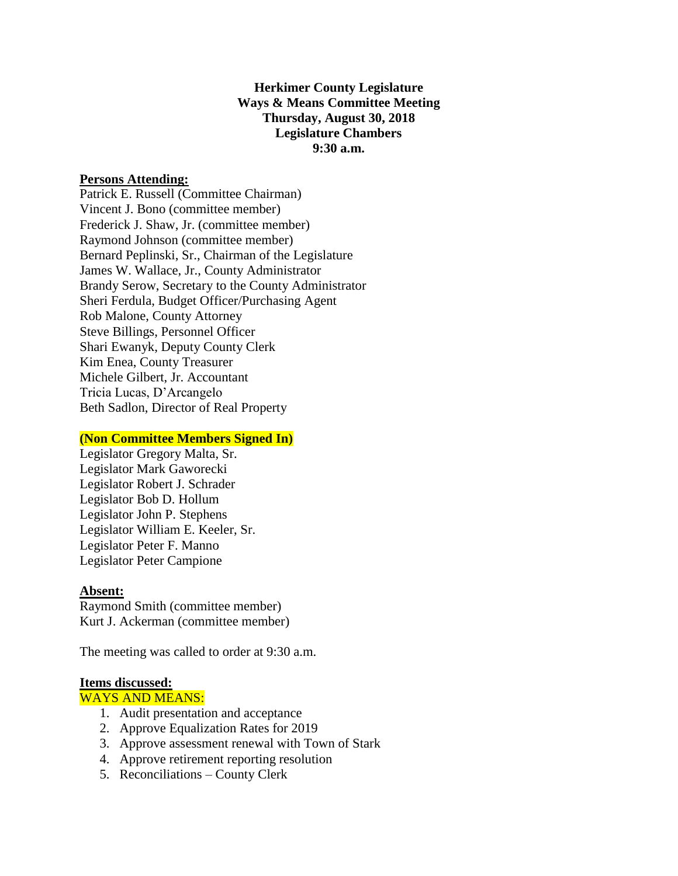# **Herkimer County Legislature Ways & Means Committee Meeting Thursday, August 30, 2018 Legislature Chambers 9:30 a.m.**

### **Persons Attending:**

Patrick E. Russell (Committee Chairman) Vincent J. Bono (committee member) Frederick J. Shaw, Jr. (committee member) Raymond Johnson (committee member) Bernard Peplinski, Sr., Chairman of the Legislature James W. Wallace, Jr., County Administrator Brandy Serow, Secretary to the County Administrator Sheri Ferdula, Budget Officer/Purchasing Agent Rob Malone, County Attorney Steve Billings, Personnel Officer Shari Ewanyk, Deputy County Clerk Kim Enea, County Treasurer Michele Gilbert, Jr. Accountant Tricia Lucas, D'Arcangelo Beth Sadlon, Director of Real Property

### **(Non Committee Members Signed In)**

Legislator Gregory Malta, Sr. Legislator Mark Gaworecki Legislator Robert J. Schrader Legislator Bob D. Hollum Legislator John P. Stephens Legislator William E. Keeler, Sr. Legislator Peter F. Manno Legislator Peter Campione

### **Absent:**

Raymond Smith (committee member) Kurt J. Ackerman (committee member)

The meeting was called to order at 9:30 a.m.

### **Items discussed:**

### WAYS AND MEANS:

- 1. Audit presentation and acceptance
- 2. Approve Equalization Rates for 2019
- 3. Approve assessment renewal with Town of Stark
- 4. Approve retirement reporting resolution
- 5. Reconciliations County Clerk